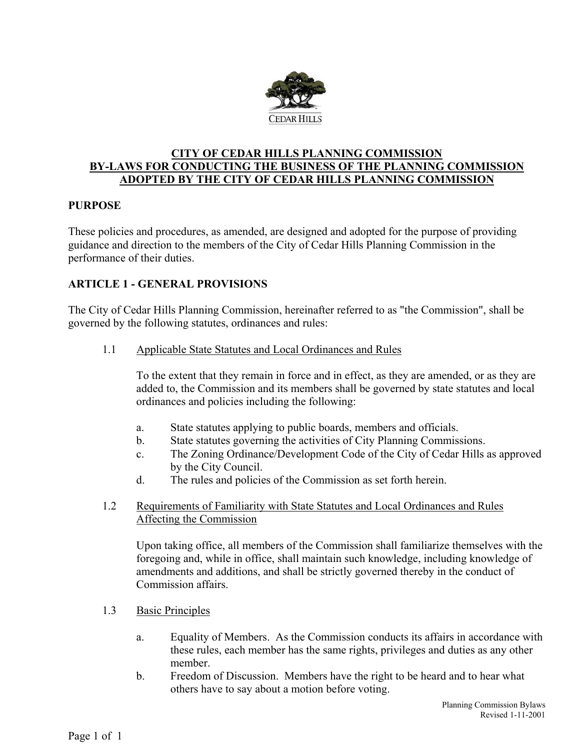

## **CITY OF CEDAR HILLS PLANNING COMMISSION BY-LAWS FOR CONDUCTING THE BUSINESS OF THE PLANNING COMMISSION ADOPTED BY THE CITY OF CEDAR HILLS PLANNING COMMISSION**

### **PURPOSE**

These policies and procedures, as amended, are designed and adopted for the purpose of providing guidance and direction to the members of the City of Cedar Hills Planning Commission in the performance of their duties.

## **ARTICLE 1 - GENERAL PROVISIONS**

The City of Cedar Hills Planning Commission, hereinafter referred to as "the Commission", shall be governed by the following statutes, ordinances and rules:

1.1 Applicable State Statutes and Local Ordinances and Rules

To the extent that they remain in force and in effect, as they are amended, or as they are added to, the Commission and its members shall be governed by state statutes and local ordinances and policies including the following:

- a. State statutes applying to public boards, members and officials.
- b. State statutes governing the activities of City Planning Commissions.
- c. The Zoning Ordinance/Development Code of the City of Cedar Hills as approved by the City Council.
- d. The rules and policies of the Commission as set forth herein.

### 1.2 Requirements of Familiarity with State Statutes and Local Ordinances and Rules Affecting the Commission

Upon taking office, all members of the Commission shall familiarize themselves with the foregoing and, while in office, shall maintain such knowledge, including knowledge of amendments and additions, and shall be strictly governed thereby in the conduct of Commission affairs.

- 1.3 Basic Principles
	- a. Equality of Members. As the Commission conducts its affairs in accordance with these rules, each member has the same rights, privileges and duties as any other member.
	- b. Freedom of Discussion. Members have the right to be heard and to hear what others have to say about a motion before voting.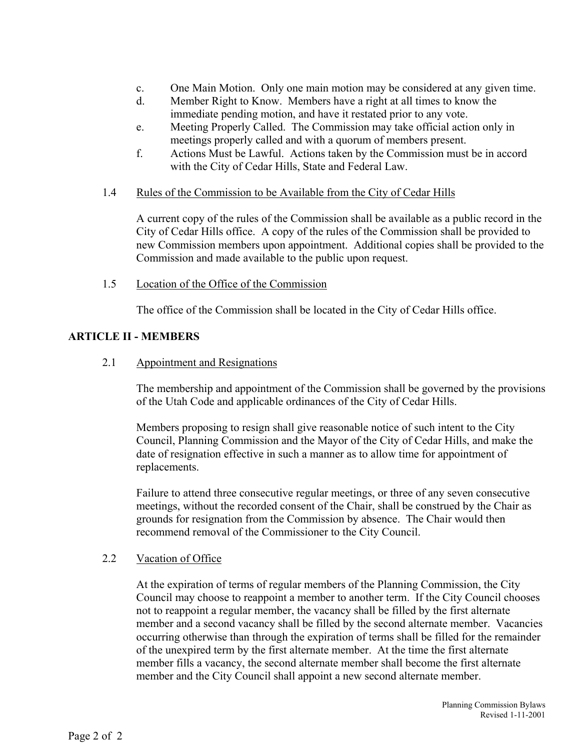- c. One Main Motion. Only one main motion may be considered at any given time.
- d. Member Right to Know. Members have a right at all times to know the immediate pending motion, and have it restated prior to any vote.
- e. Meeting Properly Called. The Commission may take official action only in meetings properly called and with a quorum of members present.
- f. Actions Must be Lawful. Actions taken by the Commission must be in accord with the City of Cedar Hills, State and Federal Law.
- 1.4 Rules of the Commission to be Available from the City of Cedar Hills

A current copy of the rules of the Commission shall be available as a public record in the City of Cedar Hills office. A copy of the rules of the Commission shall be provided to new Commission members upon appointment. Additional copies shall be provided to the Commission and made available to the public upon request.

1.5 Location of the Office of the Commission

The office of the Commission shall be located in the City of Cedar Hills office.

## **ARTICLE II - MEMBERS**

2.1 Appointment and Resignations

The membership and appointment of the Commission shall be governed by the provisions of the Utah Code and applicable ordinances of the City of Cedar Hills.

Members proposing to resign shall give reasonable notice of such intent to the City Council, Planning Commission and the Mayor of the City of Cedar Hills, and make the date of resignation effective in such a manner as to allow time for appointment of replacements.

Failure to attend three consecutive regular meetings, or three of any seven consecutive meetings, without the recorded consent of the Chair, shall be construed by the Chair as grounds for resignation from the Commission by absence. The Chair would then recommend removal of the Commissioner to the City Council.

## 2.2 Vacation of Office

At the expiration of terms of regular members of the Planning Commission, the City Council may choose to reappoint a member to another term. If the City Council chooses not to reappoint a regular member, the vacancy shall be filled by the first alternate member and a second vacancy shall be filled by the second alternate member. Vacancies occurring otherwise than through the expiration of terms shall be filled for the remainder of the unexpired term by the first alternate member. At the time the first alternate member fills a vacancy, the second alternate member shall become the first alternate member and the City Council shall appoint a new second alternate member.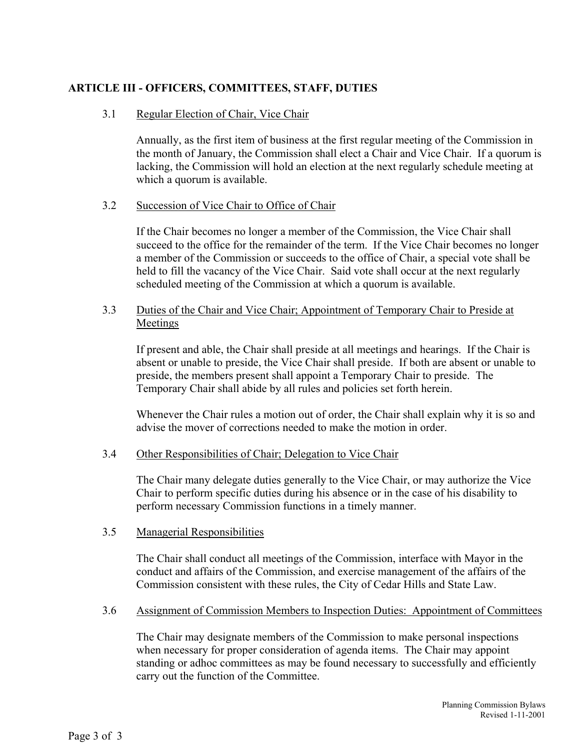## **ARTICLE III - OFFICERS, COMMITTEES, STAFF, DUTIES**

### 3.1 Regular Election of Chair, Vice Chair

Annually, as the first item of business at the first regular meeting of the Commission in the month of January, the Commission shall elect a Chair and Vice Chair. If a quorum is lacking, the Commission will hold an election at the next regularly schedule meeting at which a quorum is available.

### 3.2 Succession of Vice Chair to Office of Chair

If the Chair becomes no longer a member of the Commission, the Vice Chair shall succeed to the office for the remainder of the term. If the Vice Chair becomes no longer a member of the Commission or succeeds to the office of Chair, a special vote shall be held to fill the vacancy of the Vice Chair. Said vote shall occur at the next regularly scheduled meeting of the Commission at which a quorum is available.

### 3.3 Duties of the Chair and Vice Chair; Appointment of Temporary Chair to Preside at Meetings

If present and able, the Chair shall preside at all meetings and hearings. If the Chair is absent or unable to preside, the Vice Chair shall preside. If both are absent or unable to preside, the members present shall appoint a Temporary Chair to preside. The Temporary Chair shall abide by all rules and policies set forth herein.

Whenever the Chair rules a motion out of order, the Chair shall explain why it is so and advise the mover of corrections needed to make the motion in order.

### 3.4 Other Responsibilities of Chair; Delegation to Vice Chair

The Chair many delegate duties generally to the Vice Chair, or may authorize the Vice Chair to perform specific duties during his absence or in the case of his disability to perform necessary Commission functions in a timely manner.

### 3.5 Managerial Responsibilities

The Chair shall conduct all meetings of the Commission, interface with Mayor in the conduct and affairs of the Commission, and exercise management of the affairs of the Commission consistent with these rules, the City of Cedar Hills and State Law.

### 3.6 Assignment of Commission Members to Inspection Duties: Appointment of Committees

The Chair may designate members of the Commission to make personal inspections when necessary for proper consideration of agenda items. The Chair may appoint standing or adhoc committees as may be found necessary to successfully and efficiently carry out the function of the Committee.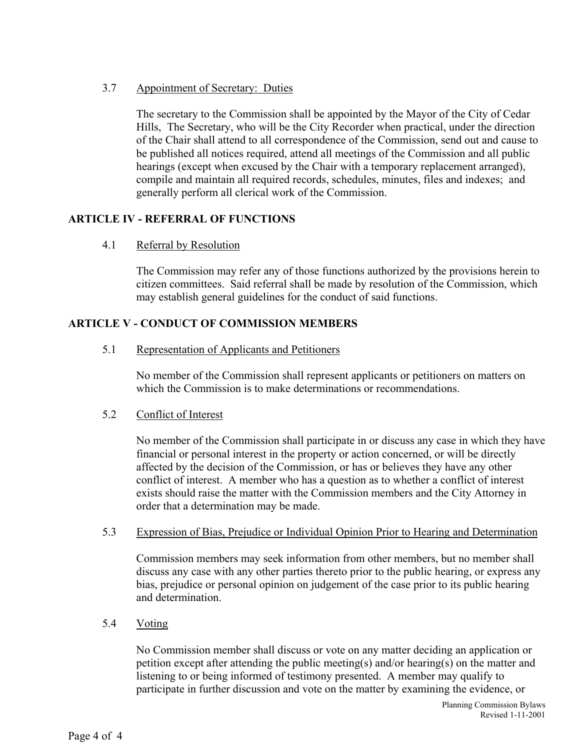## 3.7 Appointment of Secretary: Duties

The secretary to the Commission shall be appointed by the Mayor of the City of Cedar Hills, The Secretary, who will be the City Recorder when practical, under the direction of the Chair shall attend to all correspondence of the Commission, send out and cause to be published all notices required, attend all meetings of the Commission and all public hearings (except when excused by the Chair with a temporary replacement arranged), compile and maintain all required records, schedules, minutes, files and indexes; and generally perform all clerical work of the Commission.

## **ARTICLE IV - REFERRAL OF FUNCTIONS**

4.1 Referral by Resolution

The Commission may refer any of those functions authorized by the provisions herein to citizen committees. Said referral shall be made by resolution of the Commission, which may establish general guidelines for the conduct of said functions.

## **ARTICLE V - CONDUCT OF COMMISSION MEMBERS**

5.1 Representation of Applicants and Petitioners

No member of the Commission shall represent applicants or petitioners on matters on which the Commission is to make determinations or recommendations.

### 5.2 Conflict of Interest

No member of the Commission shall participate in or discuss any case in which they have financial or personal interest in the property or action concerned, or will be directly affected by the decision of the Commission, or has or believes they have any other conflict of interest. A member who has a question as to whether a conflict of interest exists should raise the matter with the Commission members and the City Attorney in order that a determination may be made.

### 5.3 Expression of Bias, Prejudice or Individual Opinion Prior to Hearing and Determination

Commission members may seek information from other members, but no member shall discuss any case with any other parties thereto prior to the public hearing, or express any bias, prejudice or personal opinion on judgement of the case prior to its public hearing and determination.

## 5.4 Voting

No Commission member shall discuss or vote on any matter deciding an application or petition except after attending the public meeting(s) and/or hearing(s) on the matter and listening to or being informed of testimony presented. A member may qualify to participate in further discussion and vote on the matter by examining the evidence, or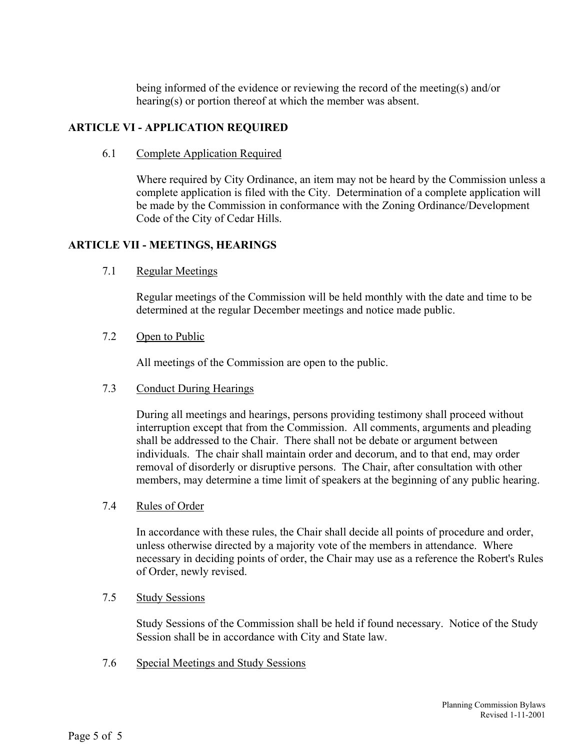being informed of the evidence or reviewing the record of the meeting(s) and/or hearing(s) or portion thereof at which the member was absent.

## **ARTICLE VI - APPLICATION REQUIRED**

6.1 Complete Application Required

Where required by City Ordinance, an item may not be heard by the Commission unless a complete application is filed with the City. Determination of a complete application will be made by the Commission in conformance with the Zoning Ordinance/Development Code of the City of Cedar Hills.

## **ARTICLE VII - MEETINGS, HEARINGS**

7.1 Regular Meetings

Regular meetings of the Commission will be held monthly with the date and time to be determined at the regular December meetings and notice made public.

7.2 Open to Public

All meetings of the Commission are open to the public.

7.3 Conduct During Hearings

During all meetings and hearings, persons providing testimony shall proceed without interruption except that from the Commission. All comments, arguments and pleading shall be addressed to the Chair. There shall not be debate or argument between individuals. The chair shall maintain order and decorum, and to that end, may order removal of disorderly or disruptive persons. The Chair, after consultation with other members, may determine a time limit of speakers at the beginning of any public hearing.

7.4 Rules of Order

In accordance with these rules, the Chair shall decide all points of procedure and order, unless otherwise directed by a majority vote of the members in attendance. Where necessary in deciding points of order, the Chair may use as a reference the Robert's Rules of Order, newly revised.

7.5 Study Sessions

Study Sessions of the Commission shall be held if found necessary. Notice of the Study Session shall be in accordance with City and State law.

7.6 Special Meetings and Study Sessions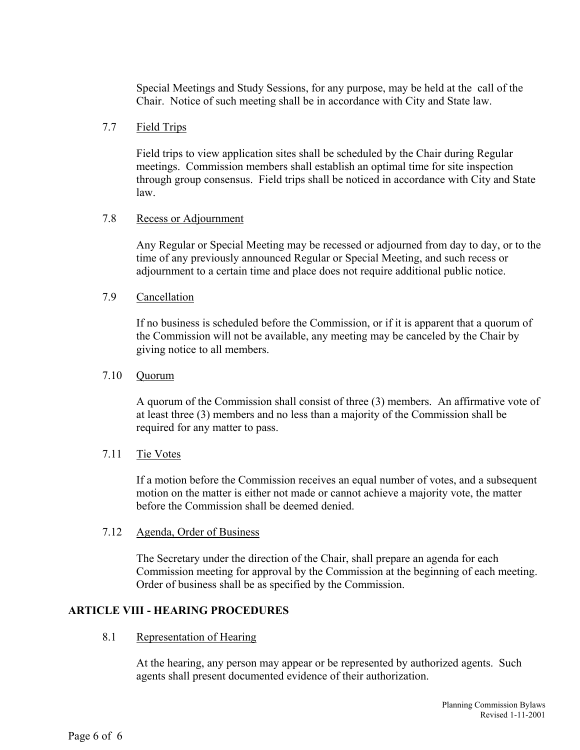Special Meetings and Study Sessions, for any purpose, may be held at the call of the Chair. Notice of such meeting shall be in accordance with City and State law.

### 7.7 Field Trips

Field trips to view application sites shall be scheduled by the Chair during Regular meetings. Commission members shall establish an optimal time for site inspection through group consensus. Field trips shall be noticed in accordance with City and State law.

### 7.8 Recess or Adjournment

Any Regular or Special Meeting may be recessed or adjourned from day to day, or to the time of any previously announced Regular or Special Meeting, and such recess or adjournment to a certain time and place does not require additional public notice.

### 7.9 Cancellation

If no business is scheduled before the Commission, or if it is apparent that a quorum of the Commission will not be available, any meeting may be canceled by the Chair by giving notice to all members.

### 7.10 Quorum

A quorum of the Commission shall consist of three (3) members. An affirmative vote of at least three (3) members and no less than a majority of the Commission shall be required for any matter to pass.

### 7.11 Tie Votes

If a motion before the Commission receives an equal number of votes, and a subsequent motion on the matter is either not made or cannot achieve a majority vote, the matter before the Commission shall be deemed denied.

### 7.12 Agenda, Order of Business

The Secretary under the direction of the Chair, shall prepare an agenda for each Commission meeting for approval by the Commission at the beginning of each meeting. Order of business shall be as specified by the Commission.

### **ARTICLE VIII - HEARING PROCEDURES**

8.1 Representation of Hearing

At the hearing, any person may appear or be represented by authorized agents. Such agents shall present documented evidence of their authorization.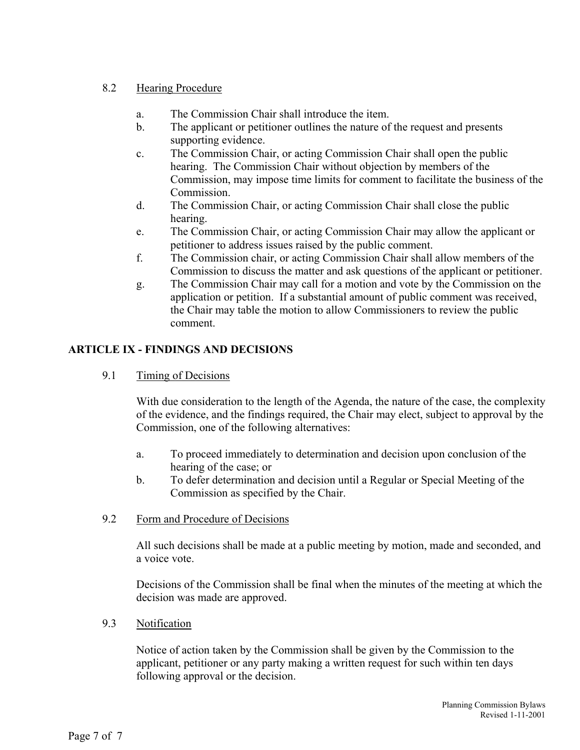## 8.2 Hearing Procedure

- a. The Commission Chair shall introduce the item.
- b. The applicant or petitioner outlines the nature of the request and presents supporting evidence.
- c. The Commission Chair, or acting Commission Chair shall open the public hearing. The Commission Chair without objection by members of the Commission, may impose time limits for comment to facilitate the business of the Commission.
- d. The Commission Chair, or acting Commission Chair shall close the public hearing.
- e. The Commission Chair, or acting Commission Chair may allow the applicant or petitioner to address issues raised by the public comment.
- f. The Commission chair, or acting Commission Chair shall allow members of the Commission to discuss the matter and ask questions of the applicant or petitioner.
- g. The Commission Chair may call for a motion and vote by the Commission on the application or petition. If a substantial amount of public comment was received, the Chair may table the motion to allow Commissioners to review the public comment.

# **ARTICLE IX - FINDINGS AND DECISIONS**

9.1 Timing of Decisions

With due consideration to the length of the Agenda, the nature of the case, the complexity of the evidence, and the findings required, the Chair may elect, subject to approval by the Commission, one of the following alternatives:

- a. To proceed immediately to determination and decision upon conclusion of the hearing of the case; or
- b. To defer determination and decision until a Regular or Special Meeting of the Commission as specified by the Chair.
- 9.2 Form and Procedure of Decisions

All such decisions shall be made at a public meeting by motion, made and seconded, and a voice vote.

Decisions of the Commission shall be final when the minutes of the meeting at which the decision was made are approved.

9.3 Notification

Notice of action taken by the Commission shall be given by the Commission to the applicant, petitioner or any party making a written request for such within ten days following approval or the decision.